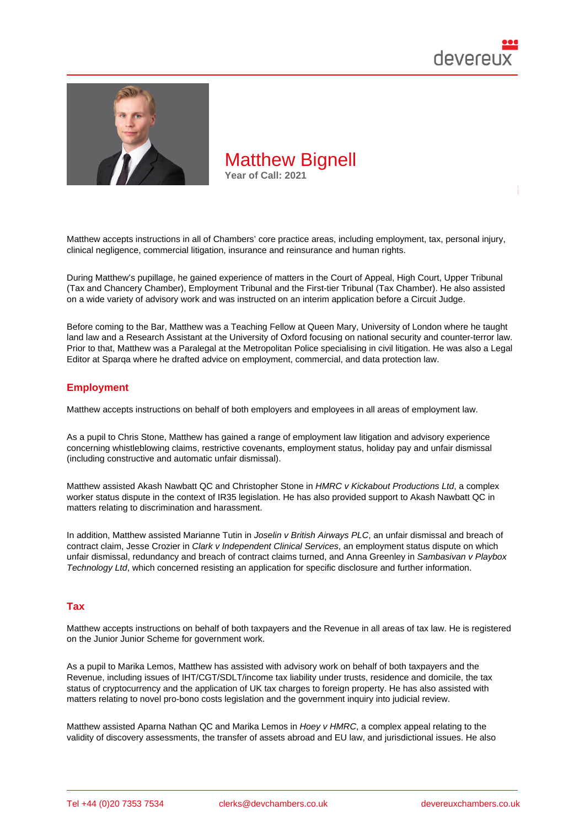

Matthew accepts instructions in all of Chambers' core practice areas, including employment, tax, personal injury, clinical negligence, commercial litigation, insurance and reinsurance and human rights.

During Matthew's pupillage, he gained experience of matters in the Court of Appeal, High Court, Upper Tribunal (Tax and Chancery Chamber), Employment Tribunal and the First-tier Tribunal (Tax Chamber). He also assisted on a wide variety of advisory work and was instructed on an interim application before a Circuit Judge.

Before coming to the Bar, Matthew was a Teaching Fellow at Queen Mary, University of London where he taught land law and a Research Assistant at the University of Oxford focusing on national security and counter-terror law. Prior to that, Matthew was a Paralegal at the Metropolitan Police specialising in civil litigation. He was also a Legal Editor at Sparqa where he drafted advice on employment, commercial, and data protection law.

### **Employment**

Matthew accepts instructions on behalf of both employers and employees in all areas of employment law.

As a pupil to Chris Stone, Matthew has gained a range of employment law litigation and advisory experience concerning whistleblowing claims, restrictive covenants, employment status, holiday pay and unfair dismissal (including constructive and automatic unfair dismissal).

Matthew assisted Akash Nawbatt QC and Christopher Stone in HMRC v Kickabout Productions Ltd, a complex worker status dispute in the context of IR35 legislation. He has also provided support to Akash Nawbatt QC in matters relating to discrimination and harassment.

In addition, Matthew assisted Marianne Tutin in Joselin v British Airways PLC, an unfair dismissal and breach of contract claim, Jesse Crozier in Clark v Independent Clinical Services, an employment status dispute on which unfair dismissal, redundancy and breach of contract claims turned, and Anna Greenley in Sambasivan v Playbox Technology Ltd, which concerned resisting an application for specific disclosure and further information.

#### Tax

Matthew accepts instructions on behalf of both taxpayers and the Revenue in all areas of tax law. He is registered on the Junior Junior Scheme for government work.

As a pupil to Marika Lemos, Matthew has assisted with advisory work on behalf of both taxpayers and the Revenue, including issues of IHT/CGT/SDLT/income tax liability under trusts, residence and domicile, the tax status of cryptocurrency and the application of UK tax charges to foreign property. He has also assisted with matters relating to novel pro-bono costs legislation and the government inquiry into judicial review.

Matthew assisted Aparna Nathan QC and Marika Lemos in Hoey v HMRC, a complex appeal relating to the validity of discovery assessments, the transfer of assets abroad and EU law, and jurisdictional issues. He also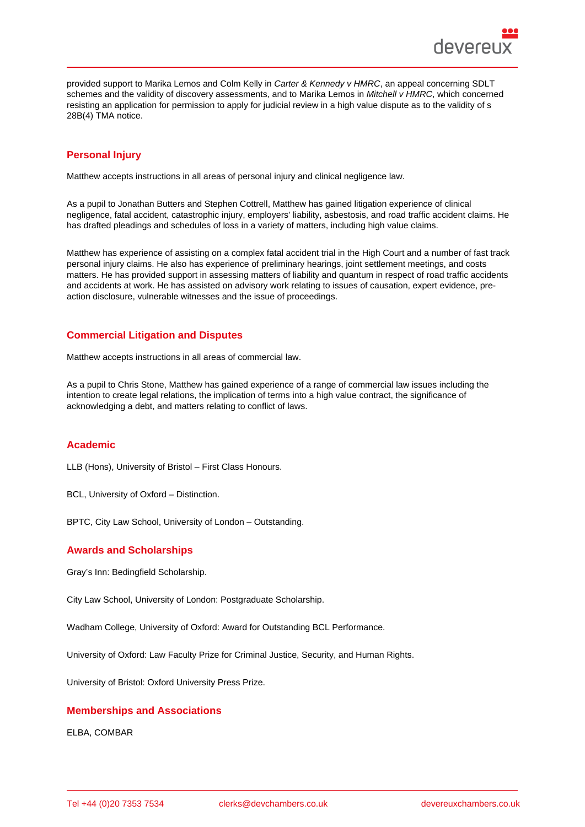provided support to Marika Lemos and Colm Kelly in Carter & Kennedy v HMRC, an appeal concerning SDLT schemes and the validity of discovery assessments, and to Marika Lemos in Mitchell v HMRC, which concerned resisting an application for permission to apply for judicial review in a high value dispute as to the validity of s 28B(4) TMA notice.

## Personal Injury

Matthew accepts instructions in all areas of personal injury and clinical negligence law.

As a pupil to Jonathan Butters and Stephen Cottrell, Matthew has gained litigation experience of clinical negligence, fatal accident, catastrophic injury, employers' liability, asbestosis, and road traffic accident claims. He has drafted pleadings and schedules of loss in a variety of matters, including high value claims.

Matthew has experience of assisting on a complex fatal accident trial in the High Court and a number of fast track personal injury claims. He also has experience of preliminary hearings, joint settlement meetings, and costs matters. He has provided support in assessing matters of liability and quantum in respect of road traffic accidents and accidents at work. He has assisted on advisory work relating to issues of causation, expert evidence, preaction disclosure, vulnerable witnesses and the issue of proceedings.

## Commercial Litigation and Disputes

Matthew accepts instructions in all areas of commercial law.

As a pupil to Chris Stone, Matthew has gained experience of a range of commercial law issues including the intention to create legal relations, the implication of terms into a high value contract, the significance of acknowledging a debt, and matters relating to conflict of laws.

#### Academic

LLB (Hons), University of Bristol – First Class Honours.

BCL, University of Oxford – Distinction.

BPTC, City Law School, University of London – Outstanding.

#### Awards and Scholarships

Gray's Inn: Bedingfield Scholarship.

City Law School, University of London: Postgraduate Scholarship.

Wadham College, University of Oxford: Award for Outstanding BCL Performance.

University of Oxford: Law Faculty Prize for Criminal Justice, Security, and Human Rights.

University of Bristol: Oxford University Press Prize.

#### Memberships and Associations

ELBA, COMBAR